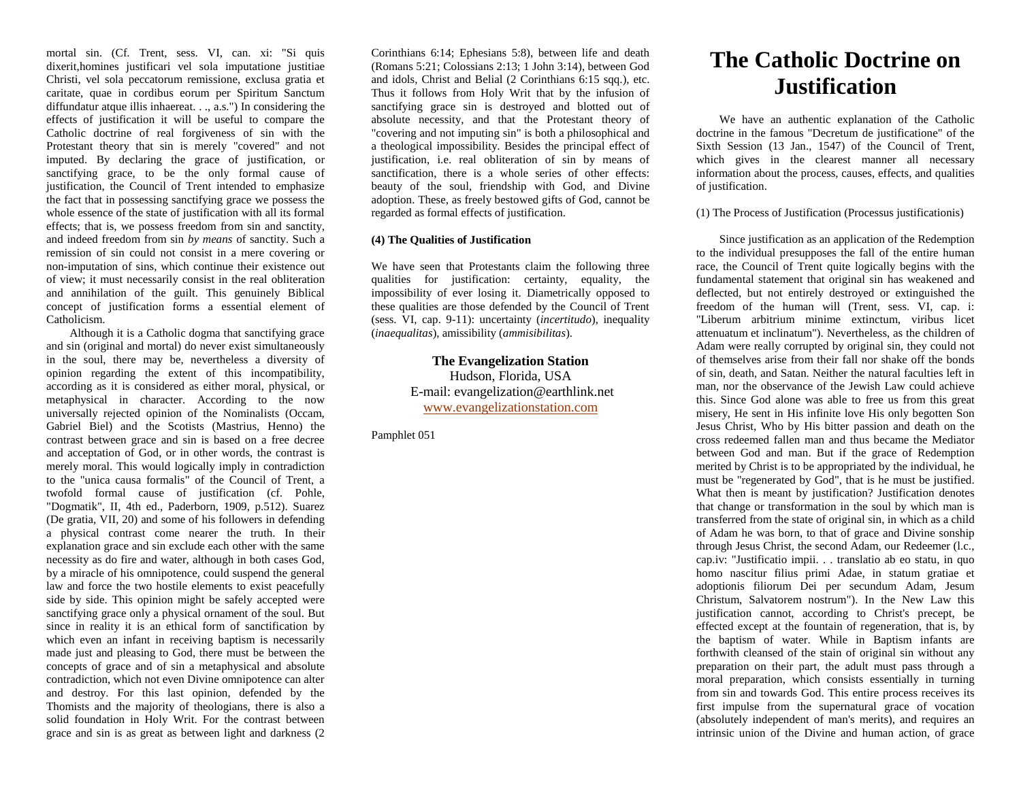mortal sin. (Cf. Trent, sess. VI, can. xi: "Si quis dixerit,homines justificari vel sola imputatione justitiae Christi, vel sola peccatorum remissione, exclusa gratia et caritate, quae in cordibus eorum per Spiritum Sanctum diffundatur atque illis inhaereat. . ., a.s.") In considering the effects of justification it will be useful to compare the Catholic doctrine of real forgiveness of sin with the Protestant theory that sin is merely "covered" and not imputed. By declaring the grace of justification, or sanctifying grace, to be the only formal cause of justification, the Council of Trent intended to emphasize the fact that in possessing sanctifying grace we possess the whole essence of the state of justification with all its formal effects; that is, we possess freedom from sin and sanctity, and indeed freedom from sin *by means* of sanctity. Such a remission of sin could not consist in a mere covering or non-imputation of sins, which continue their existence out of view; it must necessarily consist in the real obliteration and annihilation of the guilt. This genuinely Biblical concept of justification forms a essential element of Catholicism.

Although it is a Catholic dogma that sanctifying grace and sin (original and mortal) do never exist simultaneously in the soul, there may be, nevertheless a diversity of opinion regarding the extent of this incompatibility, according as it is considered as either moral, physical, or metaphysical in character. According to the now universally rejected opinion of the Nominalists (Occam, Gabriel Biel) and the Scotists (Mastrius, Henno) the contrast between grace and sin is based on a free decree and acceptation of God, or in other words, the contrast is merely moral. This would logically imply in contradiction to the "unica causa formalis" of the Council of Trent, a twofold formal cause of justification (cf. Pohle, "Dogmatik", II, 4th ed., Paderborn, 1909, p.512). Suarez (De gratia, VII, 20) and some of his followers in defending a physical contrast come nearer the truth. In their explanation grace and sin exclude each other with the same necessity as do fire and water, although in both cases God, by a miracle of his omnipotence, could suspend the general law and force the two hostile elements to exist peacefully side by side. This opinion might be safely accepted were sanctifying grace only a physical ornament of the soul. But since in reality it is an ethical form of sanctification by which even an infant in receiving baptism is necessarily made just and pleasing to God, there must be between the concepts of grace and of sin a metaphysical and absolute contradiction, which not even Divine omnipotence can alter and destroy. For this last opinion, defended by the Thomists and the majority of theologians, there is also a solid foundation in Holy Writ. For the contrast between grace and sin is as great as between light and darkness (2

Corinthians 6:14; Ephesians 5:8), between life and death (Romans 5:21; Colossians 2:13; 1 John 3:14), between God and idols, Christ and Belial (2 Corinthians 6:15 sqq.), etc. Thus it follows from Holy Writ that by the infusion of sanctifying grace sin is destroyed and blotted out of absolute necessity, and that the Protestant theory of "covering and not imputing sin" is both a philosophical and a theological impossibility. Besides the principal effect of justification, i.e. real obliteration of sin by means of sanctification, there is a whole series of other effects: beauty of the soul, friendship with God, and Divine adoption. These, as freely bestowed gifts of God, cannot be regarded as formal effects of justification.

## **(4) The Qualities of Justification**

We have seen that Protestants claim the following three qualities for justification: certainty, equality, the impossibility of ever losing it. Diametrically opposed to these qualities are those defended by the Council of Trent (sess. VI, cap. 9-11): uncertainty (*incertitudo*), inequality (*inaequalitas*), amissibility (*ammisibilitas*).

> **The Evangelization Station** Hudson, Florida, USA E-mail: evangelization@earthlink.net [www.evangelizationstation.com](http://www.pjpiisoe.org/)

Pamphlet 051

## **The Catholic Doctrine on Justification**

We have an authentic explanation of the Catholic doctrine in the famous "Decretum de justificatione" of the Sixth Session (13 Jan., 1547) of the Council of Trent, which gives in the clearest manner all necessary information about the process, causes, effects, and qualities of justification.

(1) The Process of Justification (Processus justificationis)

Since justification as an application of the Redemption to the individual presupposes the fall of the entire human race, the Council of Trent quite logically begins with the fundamental statement that original sin has weakened and deflected, but not entirely destroyed or extinguished the freedom of the human will (Trent, sess. VI, cap. i: "Liberum arbitrium minime extinctum, viribus licet attenuatum et inclinatum"). Nevertheless, as the children of Adam were really corrupted by original sin, they could not of themselves arise from their fall nor shake off the bonds of sin, death, and Satan. Neither the natural faculties left in man, nor the observance of the Jewish Law could achieve this. Since God alone was able to free us from this great misery, He sent in His infinite love His only begotten Son Jesus Christ, Who by His bitter passion and death on the cross redeemed fallen man and thus became the Mediator between God and man. But if the grace of Redemption merited by Christ is to be appropriated by the individual, he must be "regenerated by God", that is he must be justified. What then is meant by justification? Justification denotes that change or transformation in the soul by which man is transferred from the state of original sin, in which as a child of Adam he was born, to that of grace and Divine sonship through Jesus Christ, the second Adam, our Redeemer (l.c., cap.iv: "Justificatio impii. . . translatio ab eo statu, in quo homo nascitur filius primi Adae, in statum gratiae et adoptionis filiorum Dei per secundum Adam, Jesum Christum, Salvatorem nostrum"). In the New Law this justification cannot, according to Christ's precept, be effected except at the fountain of regeneration, that is, by the baptism of water. While in Baptism infants are forthwith cleansed of the stain of original sin without any preparation on their part, the adult must pass through a moral preparation, which consists essentially in turning from sin and towards God. This entire process receives its first impulse from the supernatural grace of vocation (absolutely independent of man's merits), and requires an intrinsic union of the Divine and human action, of grace